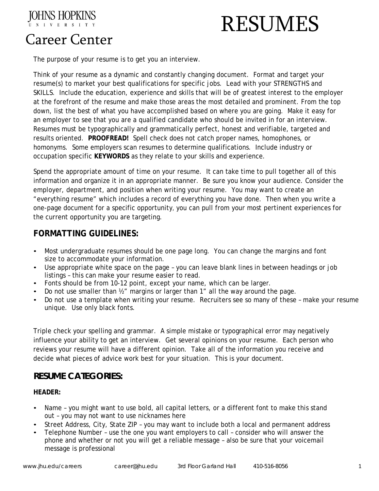

# RESUMES

# Career Center

The purpose of your resume is to get you an interview.

Think of your resume as a dynamic and constantly changing document. Format and target your resume(s) to market your best qualifications for specific jobs. Lead with your STRENGTHS and SKILLS. Include the education, experience and skills that will be of greatest interest to the employer at the forefront of the resume and make those areas the most detailed and prominent. From the top down, list the best of what you have accomplished based on where you are going. Make it easy for an employer to see that you are a qualified candidate who should be invited in for an interview. Resumes must be typographically and grammatically perfect, honest and verifiable, targeted and results oriented. **PROOFREAD!** Spell check does not catch proper names, homophones, or homonyms. Some employers scan resumes to determine qualifications. Include industry or occupation specific **KEYWORDS** as they relate to your skills and experience.

Spend the appropriate amount of time on your resume. It can take time to pull together all of this information and organize it in an appropriate manner. Be sure you know your audience. Consider the employer, department, and position when writing your resume. You may want to create an "everything resume" which includes a record of everything you have done. Then when you write a one-page document for a specific opportunity, you can pull from your most pertinent experiences for the current opportunity you are targeting.

## **FORMATTING GUIDELINES:**

- Most undergraduate resumes should be one page long. You can change the margins and font size to accommodate your information.
- Use appropriate white space on the page you can leave blank lines in between headings or job listings – this can make your resume easier to read.
- Fonts should be from 10-12 point, except your name, which can be larger.
- Do not use smaller than ½" margins or larger than 1" all the way around the page.
- Do not use a template when writing your resume. Recruiters see so many of these make your resume unique. Use only black fonts.

Triple check your spelling and grammar. A simple mistake or typographical error may negatively influence your ability to get an interview. Get several opinions on your resume. Each person who reviews your resume will have a different opinion. Take all of the information you receive and decide what pieces of advice work best for your situation. This is your document.

## **RESUME CATEGORIES:**

## **HEADER:**

- Name you might want to use bold, all capital letters, or a different font to make this stand out – you may not want to use nicknames here
- Street Address, City, State ZIP you may want to include both a local and permanent address
- Telephone Number use the one you want employers to call consider who will answer the phone and whether or not you will get a reliable message – also be sure that your voicemail message is professional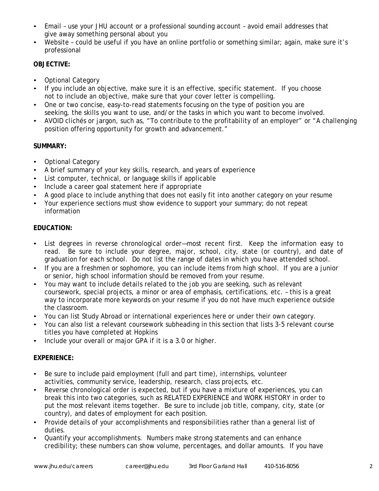- Email use your JHU account or a professional sounding account avoid email addresses that give away something personal about you
- Website could be useful if you have an online portfolio or something similar; again, make sure it's professional

## **OBJECTIVE:**

- Optional Category
- If you include an objective, make sure it is an effective, specific statement. If you choose not to include an objective, make sure that your cover letter is compelling.
- One or two concise, easy-to-read statements focusing on the type of position you are seeking, the skills you want to use, and/or the tasks in which you want to become involved.
- AVOID clichés or jargon, such as, "To contribute to the profitability of an employer" or "A challenging position offering opportunity for growth and advancement."

## **SUMMARY:**

- Optional Category
- A brief summary of your key skills, research, and years of experience
- List computer, technical, or language skills if applicable
- Include a career goal statement here if appropriate
- A good place to include anything that does not easily fit into another category on your resume
- Your experience sections must show evidence to support your summary; do not repeat information

#### **EDUCATION:**

- List degrees in reverse chronological order—most recent first. Keep the information easy to read. Be sure to include your degree, major, school, city, state (or country), and date of graduation for each school. Do not list the range of dates in which you have attended school.
- If you are a freshmen or sophomore, you can include items from high school. If you are a junior or senior, high school information should be removed from your resume.
- You may want to include details related to the job you are seeking, such as relevant coursework, special projects, a minor or area of emphasis, certifications, etc. – this is a great way to incorporate more keywords on your resume if you do not have much experience outside the classroom.
- You can list Study Abroad or international experiences here or under their own category.
- You can also list a relevant coursework subheading in this section that lists 3-5 relevant course titles you have completed at Hopkins
- Include your overall or major GPA if it is a 3.0 or higher.

## **EXPERIENCE:**

- Be sure to include paid employment (full and part time), internships, volunteer activities, community service, leadership, research, class projects, etc.
- Reverse chronological order is expected, but if you have a mixture of experiences, you can break this into two categories, such as RELATED EXPERIENCE and WORK HISTORY in order to put the most relevant items together. Be sure to include job title, company, city, state (or country), and dates of employment for each position.
- Provide details of your accomplishments and responsibilities rather than a general list of duties.
- Quantify your accomplishments. Numbers make strong statements and can enhance credibility; these numbers can show volume, percentages, and dollar amounts. If you have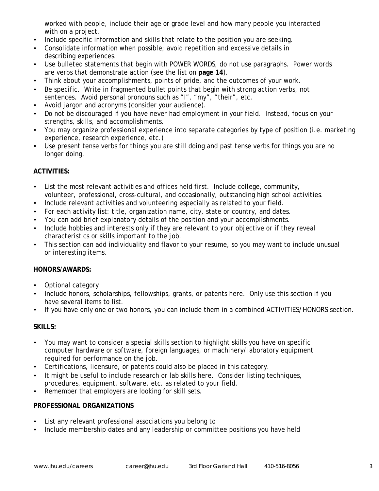worked with people, include their age or grade level and how many people you interacted with on a project.

- Include specific information and skills that relate to the position you are seeking.
- Consolidate information when possible; avoid repetition and excessive details in describing experiences.
- Use bulleted statements that begin with POWER WORDS, do not use paragraphs. Power words are verbs that demonstrate action (see the list on **page 14**).
- Think about your accomplishments, points of pride, and the outcomes of your work.
- Be specific. Write in fragmented bullet points that begin with strong action verbs, not sentences. Avoid personal pronouns such as "I", "my", "their", etc.
- Avoid jargon and acronyms (consider your audience).
- Do not be discouraged if you have never had employment in your field. Instead, focus on your strengths, skills, and accomplishments.
- You may organize professional experience into separate categories by type of position (i.e. marketing experience, research experience, etc.)
- Use present tense verbs for things you are still doing and past tense verbs for things you are no longer doing.

## **ACTIVITIES:**

- List the most relevant activities and offices held first. Include college, community, volunteer, professional, cross-cultural, and occasionally, outstanding high school activities.
- Include relevant activities and volunteering especially as related to your field.
- For each activity list: title, organization name, city, state or country, and dates.
- You can add brief explanatory details of the position and your accomplishments.
- Include hobbies and interests only if they are relevant to your objective or if they reveal characteristics or skills important to the job.
- This section can add individuality and flavor to your resume, so you may want to include unusual or interesting items.

## **HONORS/AWARDS:**

- Optional category
- Include honors, scholarships, fellowships, grants, or patents here. Only use this section if you have several items to list.
- If you have only one or two honors, you can include them in a combined ACTIVITIES/HONORS section.

## **SKILLS:**

- You may want to consider a special skills section to highlight skills you have on specific computer hardware or software, foreign languages, or machinery/laboratory equipment required for performance on the job.
- Certifications, licensure, or patents could also be placed in this category.
- It might be useful to include research or lab skills here. Consider listing techniques, procedures, equipment, software, etc. as related to your field.
- Remember that employers are looking for skill sets.

## **PROFESSIONAL ORGANIZATIONS**

- List any relevant professional associations you belong to
- Include membership dates and any leadership or committee positions you have held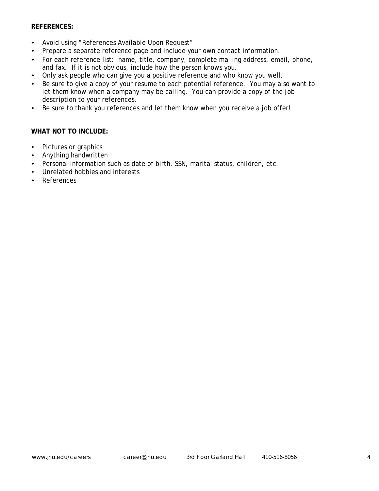#### **REFERENCES:**

- Avoid using "References Available Upon Request"
- Prepare a separate reference page and include your own contact information.
- For each reference list: name, title, company, complete mailing address, email, phone, and fax. If it is not obvious, include how the person knows you.
- Only ask people who can give you a positive reference and who know you well.
- Be sure to give a copy of your resume to each potential reference. You may also want to let them know when a company may be calling. You can provide a copy of the job description to your references.
- Be sure to thank you references and let them know when you receive a job offer!

#### **WHAT NOT TO INCLUDE:**

- Pictures or graphics
- Anything handwritten
- Personal information such as date of birth, SSN, marital status, children, etc.
- Unrelated hobbies and interests
- References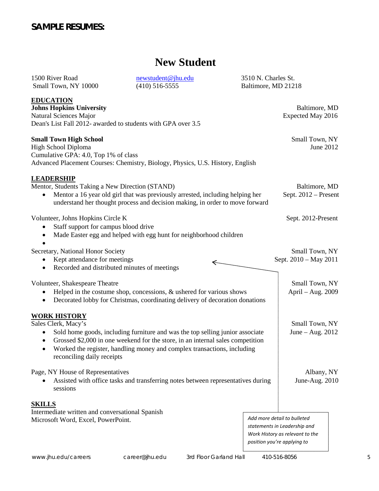## **SAMPLE RESUMES:**

# **New Student**

| 1500 River Road<br>Small Town, NY 10000                                                                                                                                        | newstudent@jhu.edu<br>$(410)$ 516-5555                                                                                                                                                                                                     | 3510 N. Charles St.<br>Baltimore, MD 21218 |                                                             |
|--------------------------------------------------------------------------------------------------------------------------------------------------------------------------------|--------------------------------------------------------------------------------------------------------------------------------------------------------------------------------------------------------------------------------------------|--------------------------------------------|-------------------------------------------------------------|
| <b>EDUCATION</b><br><b>Johns Hopkins University</b><br>Natural Sciences Major<br>Dean's List Fall 2012- awarded to students with GPA over 3.5                                  |                                                                                                                                                                                                                                            |                                            | Baltimore, MD<br>Expected May 2016                          |
| <b>Small Town High School</b><br>High School Diploma<br>Cumulative GPA: 4.0, Top 1% of class<br>Advanced Placement Courses: Chemistry, Biology, Physics, U.S. History, English |                                                                                                                                                                                                                                            |                                            | Small Town, NY<br>June 2012                                 |
| <b>LEADERSHIP</b><br>Mentor, Students Taking a New Direction (STAND)<br>$\bullet$                                                                                              | Mentor a 16 year old girl that was previously arrested, including helping her<br>understand her thought process and decision making, in order to move forward                                                                              |                                            | Baltimore, MD<br>Sept. $2012$ – Present                     |
| Volunteer, Johns Hopkins Circle K<br>Staff support for campus blood drive                                                                                                      | Made Easter egg and helped with egg hunt for neighborhood children                                                                                                                                                                         |                                            | Sept. 2012-Present                                          |
| Secretary, National Honor Society<br>Kept attendance for meetings<br>Recorded and distributed minutes of meetings<br>٠                                                         |                                                                                                                                                                                                                                            |                                            | Small Town, NY<br>Sept. 2010 – May 2011                     |
| Volunteer, Shakespeare Theatre<br>٠<br>$\bullet$                                                                                                                               | Helped in the costume shop, concessions, & ushered for various shows<br>Decorated lobby for Christmas, coordinating delivery of decoration donations                                                                                       |                                            | Small Town, NY<br>April – Aug. 2009                         |
| <b>WORK HISTORY</b><br>Sales Clerk, Macy's<br>٠<br>$\bullet$<br>reconciling daily receipts                                                                                     | Sold home goods, including furniture and was the top selling junior associate<br>Grossed \$2,000 in one weekend for the store, in an internal sales competition<br>Worked the register, handling money and complex transactions, including |                                            | Small Town, NY<br>June $-$ Aug. 2012                        |
| Page, NY House of Representatives<br>sessions                                                                                                                                  | Assisted with office tasks and transferring notes between representatives during                                                                                                                                                           |                                            | Albany, NY<br>June-Aug. 2010                                |
| <b>SKILLS</b><br>Intermediate written and conversational Spanish<br>Microsoft Word, Excel, PowerPoint.                                                                         |                                                                                                                                                                                                                                            |                                            | Add more detail to bulleted<br>statements in Leadership and |

*Work History as relevant to the position you're applying to*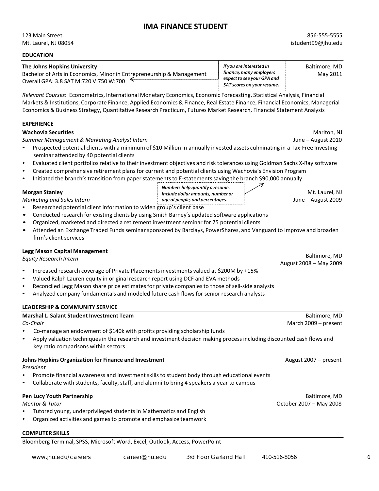## **IMA FINANCE STUDENT**

123 Main Street Mt. Laurel, NJ 08054

#### **EDUCATION The Johns Hopkins University Baltimore, MD Example 2 If you are interested in** Baltimore, MD Bachelor of Arts in Economics, Minor in Entrepreneurship & Management  $\parallel$  finance, many employers  $\parallel$  May 2011 Overall GPA: 3.8 SAT M:720 V:750 W:700 *If you are interested in finance, many employers expect to see your GPA and SAT scores on your resume.*

*Relevant Courses*: Econometrics, International Monetary Economics, Economic Forecasting, Statistical Analysis, Financial Markets & Institutions, Corporate Finance, Applied Economics & Finance, Real Estate Finance, Financial Economics, Managerial Economics & Business Strategy, Quantitative Research Practicum, Futures Market Research, Financial Statement Analysis

#### **EXPERIENCE**

#### **Machovia Securities** Marlton, NJ

*Summer Management & Marketing Analyst Intern* June – August 2010

- Prospected potential clients with a minimum of \$10 Million in annually invested assets culminating in a Tax-Free Investing seminar attended by 40 potential clients
- Evaluated client portfoliosrelative to their investment objectives and risk tolerances using Goldman Sachs X-Ray software

*Numbers help quantify a resume. age of people, and percentages***.**

- Created comprehensive retirement plans for current and potential clients using Wachovia's Envision Program
- Initiated the branch's transition from paper statements to E-statements saving the branch \$90,000 annually

*Marketing and Sales Intern* June – August 2009

- Researched potential client information to widen group's client base
- Conducted research for existing clients by using Smith Barney's updated software applications
- Organized, marketed and directed a retirement investment seminar for 75 potential clients
- Attended an Exchange Traded Funds seminar sponsored by Barclays, PowerShares, and Vanguard to improve and broaden firm's client services

#### **Legg Mason Capital Management**

*Equity Research Intern*

- Increased research coverage of Private Placementsinvestments valued at \$200M by +15%
- Valued Ralph Lauren equity in original research report using DCF and EVA methods
- Reconciled Legg Mason share price estimates for private companies to those of sell-side analysts
- Analyzed company fundamentals and modeled future cash flows for senior research analysts

#### **LEADERSHIP & COMMUNITY SERVICE**

| <b>Marshal L. Salant Student Investment Team</b>                                                                                   | Baltimore, MD           |
|------------------------------------------------------------------------------------------------------------------------------------|-------------------------|
| Co-Chair                                                                                                                           | March 2009 - present    |
| Co-manage an endowment of \$140k with profits providing scholarship funds<br>$\bullet$                                             |                         |
| Apply valuation techniques in the research and investment decision making process including discounted cash flows and<br>$\bullet$ |                         |
| key ratio comparisons within sectors                                                                                               |                         |
| Johns Hopkins Organization for Finance and Investment                                                                              | August 2007 – present   |
| President                                                                                                                          |                         |
| Promote financial awareness and investment skills to student body through educational events<br>$\bullet$                          |                         |
| Collaborate with students, faculty, staff, and alumni to bring 4 speakers a year to campus<br>$\bullet$                            |                         |
| Pen Lucy Youth Partnership                                                                                                         | Baltimore, MD           |
| <b>Mentor &amp; Tutor</b>                                                                                                          | October 2007 - May 2008 |
| Tutored young, underprivileged students in Mathematics and English<br>$\bullet$                                                    |                         |
| Organized activities and games to promote and emphasize teamwork<br>$\bullet$                                                      |                         |
| <b>COMPUTER SKILLS</b>                                                                                                             |                         |

Bloomberg Terminal, SPSS, Microsoft Word, Excel, Outlook, Access, PowerPoint

**Morgan Stanley** Mt. Laurel, NJ and Muslim clude dollar amounts, number or **1998** Mt. Laurel, NJ

Baltimore, MD August 2008 – May 2009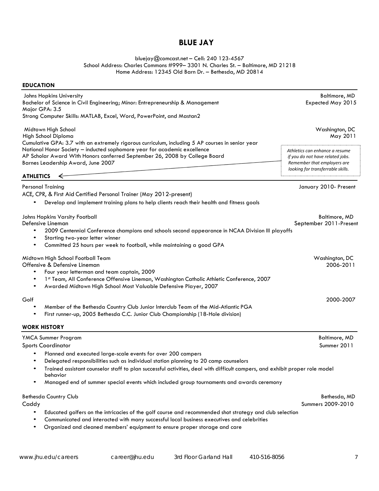## **BLUE JAY**

[bluejay@comcast.net](mailto:bluejay@comcast.net) – Cell: 240 123-4567 School Address: Charles Commons #999- 3301 N. Charles St. - Baltimore, MD 21218 Home Address: 12345 Old Barn Dr. – Bethesda, MD 20814

#### **EDUCATION**

| Johns Hopkins University<br>Bachelor of Science in Civil Engineering; Minor: Entrepreneurship & Management                                                                                   | Baltimore, MD<br>Expected May 2015                                                                |
|----------------------------------------------------------------------------------------------------------------------------------------------------------------------------------------------|---------------------------------------------------------------------------------------------------|
| Major GPA: 3.5                                                                                                                                                                               |                                                                                                   |
| Strong Computer Skills: MATLAB, Excel, Word, PowerPoint, and Mastan2                                                                                                                         |                                                                                                   |
| Midtown High School                                                                                                                                                                          | Washington, DC                                                                                    |
| High School Diploma<br>Cumulative GPA: 3.7 with an extremely rigorous curriculum, including 5 AP courses in senior year                                                                      | May 2011                                                                                          |
| National Honor Society - inducted sophomore year for academic excellence<br>AP Scholar Award With Honors conferred September 26, 2008 by College Board<br>Barnes Leadership Award, June 2007 | Athletics can enhance a resume<br>if you do not have related jobs.<br>Remember that employers are |
|                                                                                                                                                                                              | looking for transferrable skills.                                                                 |
| <b>ATHLETICS</b><br>↞                                                                                                                                                                        |                                                                                                   |
| <b>Personal Training</b>                                                                                                                                                                     | January 2010- Present                                                                             |
| ACE, CPR, & First Aid Certified Personal Trainer (May 2012-present)                                                                                                                          |                                                                                                   |
| Develop and implement training plans to help clients reach their health and fitness goals                                                                                                    |                                                                                                   |
| Johns Hopkins Varsity Football                                                                                                                                                               | Baltimore, MD                                                                                     |
| Defensive Lineman                                                                                                                                                                            | September 2011-Present                                                                            |
| 2009 Centennial Conference champions and schools second appearance in NCAA Division III playoffs                                                                                             |                                                                                                   |
| Starting two-year letter winner                                                                                                                                                              |                                                                                                   |
| Committed 25 hours per week to football, while maintaining a good GPA                                                                                                                        |                                                                                                   |
| Midtown High School Football Team<br>Offensive & Defensive Lineman                                                                                                                           | Washington, DC<br>2006-2011                                                                       |
| Four year letterman and team captain, 2009                                                                                                                                                   |                                                                                                   |
| 1st Team, All Conference Offensive Lineman, Washington Catholic Athletic Conference, 2007<br>Awarded Midtown High School Most Valuable Defensive Player, 2007                                |                                                                                                   |
| Golf                                                                                                                                                                                         | 2000-2007                                                                                         |
| Member of the Bethesda Country Club Junior Interclub Team of the Mid-Atlantic PGA                                                                                                            |                                                                                                   |
| First runner-up, 2005 Bethesda C.C. Junior Club Championship (18-Hole division)                                                                                                              |                                                                                                   |
| <b>WORK HISTORY</b>                                                                                                                                                                          |                                                                                                   |
| YMCA Summer Program                                                                                                                                                                          | <b>Baltimore, MD</b>                                                                              |
| <b>Sports Coordinator</b>                                                                                                                                                                    | Summer 2011                                                                                       |
| Planned and executed large-scale events for over 200 campers                                                                                                                                 |                                                                                                   |
| Delegated responsibilities such as individual station planning to 20 camp counselors                                                                                                         |                                                                                                   |
| Trained assistant counselor staff to plan successful activities, deal with difficult campers, and exhibit proper role model<br>behavior                                                      |                                                                                                   |
| Managed end of summer special events which included group tournaments and awards ceremony                                                                                                    |                                                                                                   |
| <b>Bethesda Country Club</b>                                                                                                                                                                 | Bethesda, MD                                                                                      |
| Caddy                                                                                                                                                                                        | Summers 2009-2010                                                                                 |
|                                                                                                                                                                                              |                                                                                                   |

• Educated golfers on the intricacies of the golf course and recommended shot strategy and club selection

- Communicated and interacted with many successful local business executives and celebrities<br>• Organized and cleaned members' equipment to ensure proper storage and care
- Organized and cleaned members' equipment to ensure proper storage and care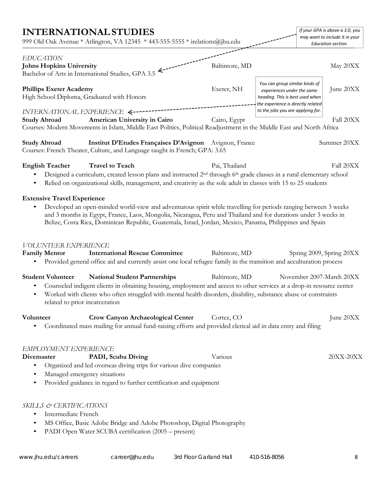| <b>INTERNATIONAL STUDIES</b>                                                                      |                                                                                                                                                                | 999 Old Oak Avenue * Arlington, VA 12345 * 443-555-5555 * irelations@jhu.edu                                                                                                                                                                                                                                                                  |                                                                                                                                       | If your GPA is above a 3.0, you<br>may want to include it in your<br>Education section. |
|---------------------------------------------------------------------------------------------------|----------------------------------------------------------------------------------------------------------------------------------------------------------------|-----------------------------------------------------------------------------------------------------------------------------------------------------------------------------------------------------------------------------------------------------------------------------------------------------------------------------------------------|---------------------------------------------------------------------------------------------------------------------------------------|-----------------------------------------------------------------------------------------|
| <b>EDUCATION</b>                                                                                  |                                                                                                                                                                |                                                                                                                                                                                                                                                                                                                                               |                                                                                                                                       |                                                                                         |
| <b>Johns Hopkins University</b><br>Bachelor of Arts in International Studies, GPA 3.5             |                                                                                                                                                                | Baltimore, MD                                                                                                                                                                                                                                                                                                                                 |                                                                                                                                       | May 20XX                                                                                |
| <b>Phillips Exeter Academy</b><br>High School Diploma, Graduated with Honors                      |                                                                                                                                                                | Exeter, NH                                                                                                                                                                                                                                                                                                                                    | You can group similar kinds of<br>experiences under the same<br>heading. This is best used when<br>the experience is directly related | June 20XX                                                                               |
| INTERNATIONAL EXPERIENCE <-------<br><b>Study Abroad</b>                                          | American University in Cairo                                                                                                                                   | Cairo, Egypt<br>Courses: Modern Movements in Islam, Middle East Politics, Political Readjustment in the Middle East and North Africa                                                                                                                                                                                                          | to the jobs you are applying for.                                                                                                     | Fall 20XX                                                                               |
| <b>Study Abroad</b><br>Courses: French Theater, Culture, and Language taught in French; GPA: 3.65 |                                                                                                                                                                | Institut D'Etudes Françaises D'Avignon Avignon, France                                                                                                                                                                                                                                                                                        |                                                                                                                                       | Summer 20XX                                                                             |
| <b>English Teacher</b>                                                                            | <b>Travel to Teach</b>                                                                                                                                         | Pai, Thailand<br>Designed a curriculum, created lesson plans and instructed 2 <sup>nd</sup> through 6 <sup>th</sup> grade classes in a rural elementary school<br>Relied on organizational skills, management, and creativity as the sole adult in classes with 15 to 25 students                                                             |                                                                                                                                       | Fall 20XX                                                                               |
| <b>Extensive Travel Experience</b><br><b>VOLUNTEER EXPERIENCE</b>                                 |                                                                                                                                                                | Developed an open-minded world-view and adventurous spirit while travelling for periods ranging between 3 weeks<br>and 3 months in Egypt, France, Laos, Mongolia, Nicaragua, Peru and Thailand and for durations under 3 weeks in<br>Belize, Costa Rica, Dominican Republic, Guatemala, Israel, Jordan, Mexico, Panama, Philippines and Spain |                                                                                                                                       |                                                                                         |
| <b>Family Mentor</b>                                                                              | <b>International Rescue Committee</b>                                                                                                                          | Baltimore, MD<br>Provided general office aid and currently assist one local refugee family in the transition and acculturation process                                                                                                                                                                                                        |                                                                                                                                       | Spring 2009, Spring 20XX                                                                |
| <b>Student Volunteer</b><br>related to prior incarceration                                        | <b>National Student Partnerships</b>                                                                                                                           | Baltimore, MD<br>Counseled indigent clients in obtaining housing, employment and access to other services at a drop-in resource center<br>Worked with clients who often struggled with mental health disorders, disability, substance abuse or constraints                                                                                    |                                                                                                                                       | November 2007-March 20XX                                                                |
| Volunteer<br>$\bullet$                                                                            | <b>Crow Canyon Archaeological Center</b>                                                                                                                       | Cortez, CO<br>Coordinated mass mailing for annual fund-raising efforts and provided clerical aid in data entry and filing                                                                                                                                                                                                                     |                                                                                                                                       | June 20XX                                                                               |
| EMPLOYMENT EXPERIENCE<br>Divemaster<br>Managed emergency situations<br>٠                          | PADI, Scuba Diving<br>Organized and led overseas diving trips for various dive companies<br>Provided guidance in regard to further certification and equipment | Various                                                                                                                                                                                                                                                                                                                                       |                                                                                                                                       | 20XX-20XX                                                                               |
| SKILLS & CERTIFICATIONS<br>Intermediate French<br>٠<br>٠                                          | PADI Open Water SCUBA certification (2005 – present)                                                                                                           | MS Office, Basic Adobe Bridge and Adobe Photoshop, Digital Photography                                                                                                                                                                                                                                                                        |                                                                                                                                       |                                                                                         |
| www.jhu.edu/careers                                                                               | career@jhu.edu                                                                                                                                                 | 3rd Floor Garland Hall                                                                                                                                                                                                                                                                                                                        | 410-516-8056                                                                                                                          | 8                                                                                       |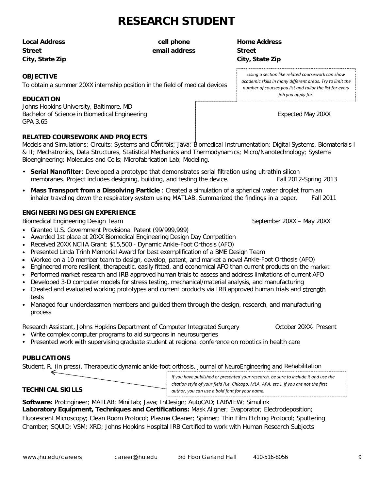# **RESEARCH STUDENT**

**Street email address Street City, State Zip City, State Zip**

#### **OBJECTIVE**

To obtain a summer 20XX internship position in the field of medical devices

#### **EDUCATION**

Johns Hopkins University, Baltimore, MD Bachelor of Science in Biomedical Engineering Expected May 20XX GPA 3.65

#### **RELATED COURSEWORK AND PROJECTS**

Models and Simulations; Circuits; Systems and Controls; Java; Biomedical Instrumentation; Digital Systems, Biomaterials I & II; Mechatronics, Data Structures, Statistical Mechanics and Thermodynamics; Micro/Nanotechnology; Systems Bioengineering; Molecules and Cells; Microfabrication Lab; Modeling.

- **Serial Nanofilter**: Developed a prototype that demonstrates serial filtration using ultrathin silicon membranes. Project includes designing, building, and testing the device. Fall 2012-Spring 2013
- **Mass Transport from a Dissolving Particle** : Created a simulation of a spherical water droplet from an inhaler traveling down the respiratory system using MATLAB. Summarized the findings in a paper. Fall 2011

#### **ENGINEERING DESIGN EXPERIENCE**

Biomedical Engineering Design Team September 20XX – May 20XX – May 20XX

- Granted U.S. Government Provisional Patent (99/999,999)
- Awarded 1st place at 20XX Biomedical Engineering Design Day Competition
- Received 20XX NCIIA Grant: \$15,500 Dynamic Ankle-Foot Orthosis (AFO)
- Presented Linda Trinh Memorial Award for best exemplification of a BME Design Team
- Worked on a 10 member team to design, develop, patent, and market a novel Ankle-Foot Orthosis (AFO)
- Engineered more resilient, therapeutic, easily fitted, and economical AFO than current products on the market
- Performed market research and IRB approved human trials to assess and address limitations of current AFO
- Developed 3-D computer models for stress testing, mechanical/material analysis, and manufacturing
- Created and evaluated working prototypes and current products via IRB approved human trials and strength tests
- Managed four underclassmen members and guided them through the design, research, and manufacturing process

Research Assistant, Johns Hopkins Department of Computer Integrated Surgery **Computer 10 October 20XX-** Present

- Write complex computer programs to aid surgeons in neurosurgeries
- Presented work with supervising graduate student at regional conference on robotics in health care

## **PUBLICATIONS**

Student, R. (in press). Therapeutic dynamic ankle-foot orthosis. Journal of NeuroEngineering and Rehabilitation

|                  | If you have published or presented your research, be sure to include it and use the   |
|------------------|---------------------------------------------------------------------------------------|
|                  | citation style of your field (i.e. Chicago, MLA, APA, etc.). If you are not the first |
| TECHNICAL SKILLS | author, you can use a bold font for your name.                                        |
|                  |                                                                                       |

#### **Software:** ProEngineer; MATLAB; MiniTab; Java; InDesign; AutoCAD; LABVIEW; Simulink

**Laboratory Equipment, Techniques and Certifications:** Mask Aligner; Evaporator; Electrodeposition; Fluorescent Microscopy; Clean Room Protocol; Plasma Cleaner; Spinner; Thin Film Etching Protocol; Sputtering Chamber; SQUID; VSM; XRD; Johns Hopkins Hospital IRB Certified to work with Human Research Subjects

**Local Address cell phone Home Address**

*Using a section like related coursework can show academic skills in many different areas. Try to limit the number of courses you list and tailor the list for every job you apply for.*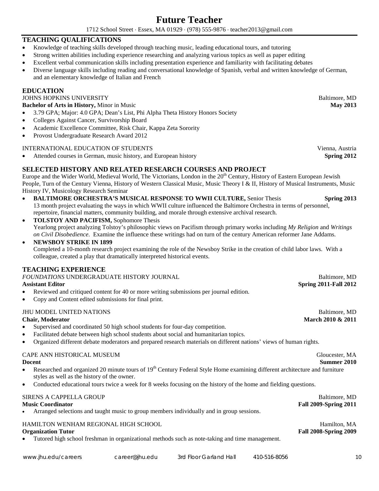## **Future Teacher**

1712 School Street ⋅ Essex, MA 01929 ⋅ (978) 555-9876 ⋅ teacher2013@gmail.com

#### **TEACHING QUALIFICATIONS**

- Knowledge of teaching skills developed through teaching music, leading educational tours, and tutoring
- Strong written abilities including experience researching and analyzing various topics as well as paper editing
- Excellent verbal communication skills including presentation experience and familiarity with facilitating debates
- Diverse language skills including reading and conversational knowledge of Spanish, verbal and written knowledge of German, and an elementary knowledge of Italian and French

#### **EDUCATION**

#### **JOHNS HOPKINS UNIVERSITY Baltimore**, MD

**Bachelor of Arts in History, Minor in Music <b>May 2013 May 2013** 

- 3.79 GPA; Major: 4.0 GPA; Dean's List, Phi Alpha Theta History Honors Society
- Colleges Against Cancer, Survivorship Board
- Academic Excellence Committee, Risk Chair, Kappa Zeta Sorority
- Provost Undergraduate Research Award 2012

#### INTERNATIONAL EDUCATION OF STUDENTS Vienna, Austria

• Attended courses in German, music history, and European history **Spring 2012**

#### **SELECTED HISTORY AND RELATED RESEARCH COURSES AND PROJECT**

Europe and the Wider World, Medieval World, The Victorians, London in the 20<sup>th</sup> Century, History of Eastern European Jewish People, Turn of the Century Vienna, History of Western Classical Music, Music Theory I & II, History of Musical Instruments, Music History IV, Musicology Research Seminar

- **BALTIMORE ORCHESTRA'S MUSICAL RESPONSE TO WWII CULTURE,** Senior Thesis **Spring 2013** 13 month project evaluating the ways in which WWII culture influenced the Baltimore Orchestra in terms of personnel, repertoire, financial matters, community building, and morale through extensive archival research.
- **TOLSTOY AND PACIFISM,** Sophomore Thesis Yearlong project analyzing Tolstoy's philosophic views on Pacifism through primary works including *My Religion* and *Writings on Civil Disobedience*. Examine the influence these writings had on turn of the century American reformer Jane Addams.

#### • **NEWSBOY STRIKE IN 1899**

Completed a 10-month research project examining the role of the Newsboy Strike in the creation of child labor laws. With a colleague, created a play that dramatically interpreted historical events.

#### **TEACHING EXPERIENCE**

| <b>FOUNDATIONS UNDERGRADUATE HISTORY JOURNAL</b> | Baltimore, MD                |
|--------------------------------------------------|------------------------------|
| <b>Assistant Editor</b>                          | <b>Spring 2011-Fall 2012</b> |

- Reviewed and critiqued content for 40 or more writing submissions per journal edition.
- Copy and Content edited submissions for final print.

#### JHU MODEL UNITED NATIONS Baltimore, MD

- Supervised and coordinated 50 high school students for four-day competition.
- Facilitated debate between high school students about social and humanitarian topics.
- Organized different debate moderators and prepared research materials on different nations' views of human rights.

#### CAPE ANN HISTORICAL MUSEUM Gloucester, MA

- Researched and organized 20 minute tours of 19<sup>th</sup> Century Federal Style Home examining different architecture and furniture styles as well as the history of the owner.
- Conducted educational tours twice a week for 8 weeks focusing on the history of the home and fielding questions.

#### SIRENS A CAPPELLA GROUP Baltimore, MD **Music Coordinator Fall 2009-Spring 2011**  • Arranged selections and taught music to group members individually and in group sessions.

## HAMILTON WENHAM REGIONAL HIGH SCHOOL Hamilton, MA

• Tutored high school freshman in organizational methods such as note-taking and time management.

**Chair, Moderator March 2010 & 2011** 

**Organization Tutor Fall 2008-Spring 2009**

**Docent Summer 2010**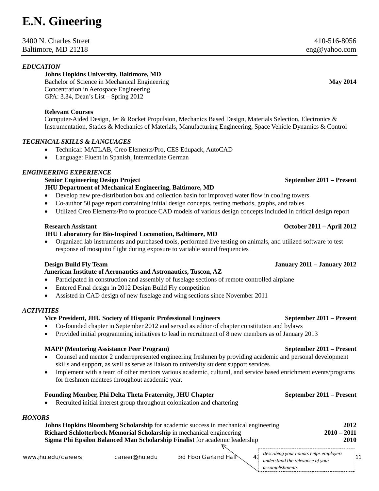# **E.N. Gineering**

#### 3400 N. Charles Street 410-516-8056 Baltimore, MD 21218 eng @yahoo.com

#### *EDUCATION*

#### **Johns Hopkins University, Baltimore, MD**

Bachelor of Science in Mechanical Engineering **May 2014 May 2014** Concentration in Aerospace Engineering GPA: 3.34, Dean's List – Spring 2012

#### **Relevant Courses**

Computer-Aided Design, Jet & Rocket Propulsion, Mechanics Based Design, Materials Selection, Electronics & Instrumentation, Statics & Mechanics of Materials, Manufacturing Engineering, Space Vehicle Dynamics & Control

#### *TECHNICAL SKILLS & LANGUAGES*

- Technical: MATLAB, Creo Elements/Pro, CES Edupack, AutoCAD
- Language: Fluent in Spanish, Intermediate German

#### *ENGINEERING EXPERIENCE*

## **Senior Engineering Design Project September 2011 – Present**

- **JHU Department of Mechanical Engineering, Baltimore, MD**
- Develop new pre-distribution box and collection basin for improved water flow in cooling towers
- Co-author 50 page report containing initial design concepts, testing methods, graphs, and tables
- Utilized Creo Elements/Pro to produce CAD models of various design concepts included in critical design report

#### **Research Assistant October 2011 – April 2012**

#### **JHU Laboratory for Bio-Inspired Locomotion, Baltimore, MD**

• Organized lab instruments and purchased tools, performed live testing on animals, and utilized software to test response of mosquito flight during exposure to variable sound frequencies

#### **Design Build Fly Team January 2011 – January 2012**

#### **American Institute of Aeronautics and Astronautics, Tuscon, AZ**

- Participated in construction and assembly of fuselage sections of remote controlled airplane
- Entered Final design in 2012 Design Build Fly competition
- Assisted in CAD design of new fuselage and wing sections since November 2011

#### *ACTIVITIES*

#### **Vice President, JHU Society of Hispanic Professional Engineers September 2011 – Present**

- Co-founded chapter in September 2012 and served as editor of chapter constitution and bylaws
- Provided initial programming initiatives to lead in recruitment of 8 new members as of January 2013

#### **MAPP (Mentoring Assistance Peer Program) September 2011 – Present**

- Counsel and mentor 2 underrepresented engineering freshmen by providing academic and personal development skills and support, as well as serve as liaison to university student support services
- Implement with a team of other mentors various academic, cultural, and service based enrichment events/programs for freshmen mentees throughout academic year.

#### **Founding Member, Phi Delta Theta Fraternity, JHU Chapter September 2011 – Present**

• Recruited initial interest group throughout colonization and chartering

#### *HONORS*

| 2012          |
|---------------|
| $2010 - 2011$ |
| 2010          |
|               |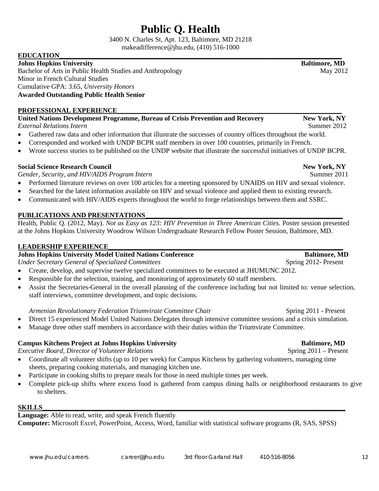# **Public Q. Health**

3400 N. Charles St, Apt. 123, Baltimore, MD 21218 makeadifference@jhu.edu, (410) 516-1000

#### **EDUCATION**

**Johns Hopkins University Baltimore, MD** Bachelor of Arts in Public Health Studies and Anthropology May 2012 Minor in French Cultural Studies Cumulative GPA: 3.65, *University Honors*  **Awarded Outstanding Public Health Senior** 

#### PROFESSIONAL EXPERIENCE

**United Nations Development Programme, Bureau of Crisis Prevention and Recovery New York, NY** *External Relations Intern* Summer 2012

- Gathered raw data and other information that illustrate the successes of country offices throughout the world.
- Corresponded and worked with UNDP BCPR staff members in over 100 countries, primarily in French.
- Wrote success stories to be published on the UNDP website that illustrate the successful initiatives of UNDP BCPR.

#### **Social Science Research Council New York, NY**

*Gender, Security, and HIV/AIDS Program Intern*  $\frac{1}{2}$  Summer 2011

- Performed literature reviews on over 100 articles for a meeting sponsored by UNAIDS on HIV and sexual violence.
- Searched for the latest information available on HIV and sexual violence and applied them to existing research.
- Communicated with HIV/AIDS experts throughout the world to forge relationships between them and SSRC.

#### PUBLICATIONS AND PRESENTATIONS

Health, Public Q. (2012, May). *Not as Easy as 123: HIV Prevention in Three American Cities*. Poster session presented at the Johns Hopkins University Woodrow Wilson Undergraduate Research Fellow Poster Session, Baltimore, MD.

#### LEADERSHIP EXPERIENCE

## **Johns Hopkins University Model United Nations Conference Baltimore, MD**

*Under Secretary General of Specialized Committees* Spring 2012- Present

- Create, develop, and supervise twelve specialized committees to be executed at JHUMUNC 2012.
- Responsible for the selection, training, and monitoring of approximately 60 staff members.
- Assist the Secretaries-General in the overall planning of the conference including but not limited to: venue selection, staff interviews, committee development, and topic decisions.

#### *Armenian Revolutionary Federation Triumvirate Committee Chair* **Service 2011** - Present

- Direct 15 experienced Model United Nations Delegates through intensive committee sessions and a crisis simulation.
- Manage three other staff members in accordance with their duties within the Triumvirate Committee.

#### **Campus Kitchens Project at Johns Hopkins University 6. In the case of the Baltimore, MD**

*Executive Board, Director of Volunteer Relations* **Spring 2011** – Present

- Coordinate all volunteer shifts (up to 10 per week) for Campus Kitchens by gathering volunteers, managing time sheets, preparing cooking materials, and managing kitchen use.
- Participate in cooking shifts to prepare meals for those in need multiple times per week.
- Complete pick-up shifts where excess food is gathered from campus dining halls or neighborhood restaurants to give to shelters.

#### **SKILLS\_\_\_\_\_\_\_\_\_\_\_\_\_\_\_\_\_\_\_\_\_\_\_\_\_\_\_\_\_\_\_\_\_\_\_\_\_\_\_\_\_\_\_\_\_\_\_\_\_\_\_\_\_\_\_\_\_\_\_\_\_\_\_\_\_\_\_\_\_\_\_\_\_\_\_\_\_\_\_\_\_\_\_\_\_\_\_\_\_**

**Language:** Able to read, write, and speak French fluently **Computer:** Microsoft Excel, PowerPoint, Access, Word, familiar with statistical software programs (R, SAS, SPSS)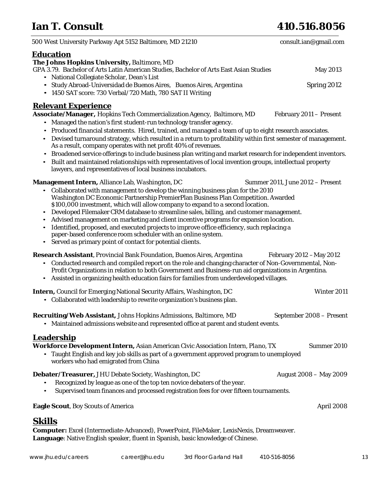# **Ian T. Consult 410.516.8056**

| 500 West University Parkway Apt 5152 Baltimore, MD 21210                                                                                                                                                                                                                                                                                                                                                                                                                                                                                                                                                                                                                                                                                                                            | consult.ian@gmail.com            |
|-------------------------------------------------------------------------------------------------------------------------------------------------------------------------------------------------------------------------------------------------------------------------------------------------------------------------------------------------------------------------------------------------------------------------------------------------------------------------------------------------------------------------------------------------------------------------------------------------------------------------------------------------------------------------------------------------------------------------------------------------------------------------------------|----------------------------------|
| <b>Education</b><br>The Johns Hopkins University, Baltimore, MD<br>GPA 3.79. Bachelor of Arts Latin American Studies, Bachelor of Arts East Asian Studies<br>• National Collegiate Scholar, Dean's List<br>• Study Abroad-Universidad de Buenos Aires, Buenos Aires, Argentina<br>• 1450 SAT score: 730 Verbal/720 Math, 780 SAT II Writing                                                                                                                                                                                                                                                                                                                                                                                                                                         | <b>May 2013</b><br>Spring 2012   |
| <b>Relevant Experience</b><br>Associate/Manager, Hopkins Tech Commercialization Agency, Baltimore, MD<br>• Managed the nation's first student-run technology transfer agency.<br>• Produced financial statements. Hired, trained, and managed a team of up to eight research associates.<br>Devised turnaround strategy, which resulted in a return to profitability within first semester of management.<br>As a result, company operates with net profit 40% of revenues.<br>Broadened service offerings to include business plan writing and market research for independent inventors.<br>$\bullet$<br>• Built and maintained relationships with representatives of local invention groups, intellectual property<br>lawyers, and representatives of local business incubators. | February 2011 - Present          |
| <b>Management Intern, Alliance Lab, Washington, DC</b><br>Collaborated with management to develop the winning business plan for the 2010<br>$\bullet$<br>Washington DC Economic Partnership PremierPlan Business Plan Competition. Awarded<br>\$100,000 investment, which will allow company to expand to a second location.<br>Developed Filemaker CRM database to streamline sales, billing, and customer management.<br>$\bullet$<br>Advised management on marketing and client incentive programs for expansion location.<br>Identified, proposed, and executed projects to improve office efficiency, such replacing a<br>paper-based conference room scheduler with an online system.<br>• Served as primary point of contact for potential clients.                          | Summer 2011, June 2012 - Present |
| <b>Research Assistant</b> , Provincial Bank Foundation, Buenos Aires, Argentina<br>Conducted research and compiled report on the role and changing character of Non-Governmental, Non-<br>$\bullet$<br>Profit Organizations in relation to both Government and Business-run aid organizations in Argentina.<br>Assisted in organizing health education fairs for families from underdeveloped villages.<br>$\bullet$                                                                                                                                                                                                                                                                                                                                                                | February 2012 - May 2012         |
| <b>Intern, Council for Emerging National Security Affairs, Washington, DC</b><br>• Collaborated with leadership to rewrite organization's business plan.                                                                                                                                                                                                                                                                                                                                                                                                                                                                                                                                                                                                                            | Winter 2011                      |
| Recruiting/Web Assistant, Johns Hopkins Admissions, Baltimore, MD<br>• Maintained admissions website and represented office at parent and student events.                                                                                                                                                                                                                                                                                                                                                                                                                                                                                                                                                                                                                           | September 2008 - Present         |
| <b>Leadership</b><br>Workforce Development Intern, Asian American Civic Association Intern, Plano, TX<br>• Taught English and key job skills as part of a government approved program to unemployed<br>workers who had emigrated from China                                                                                                                                                                                                                                                                                                                                                                                                                                                                                                                                         | Summer 2010                      |
| <b>Debater/Treasurer, JHU Debate Society, Washington, DC</b><br>Recognized by league as one of the top ten novice debaters of the year.<br>Supervised team finances and processed registration fees for over fifteen tournaments.<br>$\bullet$                                                                                                                                                                                                                                                                                                                                                                                                                                                                                                                                      | August 2008 - May 2009           |
| <b>Eagle Scout</b> , Boy Scouts of America                                                                                                                                                                                                                                                                                                                                                                                                                                                                                                                                                                                                                                                                                                                                          | April 2008                       |
| <u>Skills</u><br><b>Computer:</b> Excel (Intermediate-Advanced), PowerPoint, FileMaker, LexisNexis, Dreamweaver.<br>Language: Native English speaker, fluent in Spanish, basic knowledge of Chinese.                                                                                                                                                                                                                                                                                                                                                                                                                                                                                                                                                                                |                                  |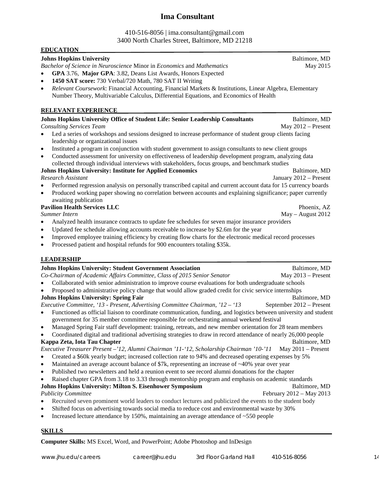## **Ima Consultant**

#### 410-516-8056 | ima.consultant@gmail.com 3400 North Charles Street, Baltimore, MD 21218

| <b>EDUCATION</b>                                                                                                                                                                                                                   |                          |
|------------------------------------------------------------------------------------------------------------------------------------------------------------------------------------------------------------------------------------|--------------------------|
| <b>Johns Hopkins University</b>                                                                                                                                                                                                    | Baltimore, MD            |
| Bachelor of Science in Neuroscience Minor in Economics and Mathematics                                                                                                                                                             | May 2015                 |
| GPA 3.76, Major GPA: 3.82, Deans List Awards, Honors Expected                                                                                                                                                                      |                          |
| 1450 SAT score: 730 Verbal/720 Math, 780 SAT II Writing<br>$\bullet$                                                                                                                                                               |                          |
| Relevant Coursework: Financial Accounting, Financial Markets & Institutions, Linear Algebra, Elementary<br>٠                                                                                                                       |                          |
| Number Theory, Multivariable Calculus, Differential Equations, and Economics of Health                                                                                                                                             |                          |
|                                                                                                                                                                                                                                    |                          |
| <b>RELEVANT EXPERIENCE</b>                                                                                                                                                                                                         |                          |
| Johns Hopkins University Office of Student Life: Senior Leadership Consultants                                                                                                                                                     | Baltimore, MD            |
| <b>Consulting Services Team</b>                                                                                                                                                                                                    | May 2012 - Present       |
| Led a series of workshops and sessions designed to increase performance of student group clients facing                                                                                                                            |                          |
| leadership or organizational issues                                                                                                                                                                                                |                          |
| Instituted a program in conjunction with student government to assign consultants to new client groups<br>٠<br>Conducted assessment for university on effectiveness of leadership development program, analyzing data<br>$\bullet$ |                          |
| collected through individual interviews with stakeholders, focus groups, and benchmark studies                                                                                                                                     |                          |
| <b>Johns Hopkins University: Institute for Applied Economics</b>                                                                                                                                                                   | Baltimore, MD            |
| <b>Research Assistant</b>                                                                                                                                                                                                          | January 2012 - Present   |
| Performed regression analysis on personally transcribed capital and current account data for 15 currency boards                                                                                                                    |                          |
| Produced working paper showing no correlation between accounts and explaining significance; paper currently<br>$\bullet$                                                                                                           |                          |
| awaiting publication                                                                                                                                                                                                               |                          |
| <b>Pavilion Health Services LLC</b>                                                                                                                                                                                                | Phoenix, AZ              |
| Summer Intern                                                                                                                                                                                                                      | May - August 2012        |
| Analyzed health insurance contracts to update fee schedules for seven major insurance providers<br>$\bullet$                                                                                                                       |                          |
| Updated fee schedule allowing accounts receivable to increase by \$2.6m for the year<br>$\bullet$                                                                                                                                  |                          |
| Improved employee training efficiency by creating flow charts for the electronic medical record processes<br>$\bullet$                                                                                                             |                          |
| Processed patient and hospital refunds for 900 encounters totaling \$35k.<br>$\bullet$                                                                                                                                             |                          |
| <b>LEADERSHIP</b>                                                                                                                                                                                                                  |                          |
| <b>Johns Hopkins University: Student Government Association</b>                                                                                                                                                                    | Baltimore, MD            |
| Co-Chairman of Academic Affairs Committee, Class of 2015 Senior Senator                                                                                                                                                            | May 2013 - Present       |
| Collaborated with senior administration to improve course evaluations for both undergraduate schools<br>$\bullet$                                                                                                                  |                          |
| Proposed to administrative policy change that would allow graded credit for civic service internships                                                                                                                              |                          |
| <b>Johns Hopkins University: Spring Fair</b>                                                                                                                                                                                       | Baltimore, MD            |
| Executive Committee, '13 - Present, Advertising Committee Chairman, '12 - '13                                                                                                                                                      | September 2012 – Present |
| Functioned as official liaison to coordinate communication, funding, and logistics between university and student<br>$\bullet$                                                                                                     |                          |
| government for 35 member committee responsible for orchestrating annual weekend festival                                                                                                                                           |                          |
| Managed Spring Fair staff development: training, retreats, and new member orientation for 28 team members                                                                                                                          |                          |
| Coordinated digital and traditional advertising strategies to draw in record attendance of nearly 26,000 people                                                                                                                    |                          |
| Kappa Zeta, Iota Tau Chapter                                                                                                                                                                                                       | Baltimore, MD            |
| Executive Treasurer Present - '12, Alumni Chairman '11-'12, Scholarship Chairman '10-'11                                                                                                                                           | May $2011$ – Present     |
| Created a \$60k yearly budget; increased collection rate to 94% and decreased operating expenses by 5%<br>٠                                                                                                                        |                          |
| Maintained an average account balance of \$7k, representing an increase of ~40% year over year<br>٠                                                                                                                                |                          |
| Published two newsletters and held a reunion event to see record alumni donations for the chapter<br>٠<br>Raised chapter GPA from 3.18 to 3.33 through mentorship program and emphasis on academic standards                       |                          |
| $\bullet$<br>Johns Hopkins University: Milton S. Eisenhower Symposium                                                                                                                                                              | Baltimore, MD            |
| <b>Publicity Committee</b>                                                                                                                                                                                                         | February 2012 - May 2013 |
| Recruited seven prominent world leaders to conduct lectures and publicized the events to the student body<br>٠                                                                                                                     |                          |
| Shifted focus on advertising towards social media to reduce cost and environmental waste by 30%<br>$\bullet$                                                                                                                       |                          |
| Increased lecture attendance by 150%, maintaining an average attendance of ~550 people<br>٠                                                                                                                                        |                          |
|                                                                                                                                                                                                                                    |                          |
| <b>SKILLS</b>                                                                                                                                                                                                                      |                          |

**Computer Skills:** MS Excel, Word, and PowerPoint; Adobe Photoshop and InDesign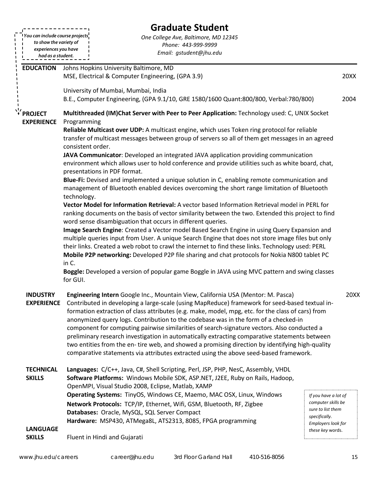|                                 |                                                                       | <b>Graduate Student</b>                                                                                                                                                                                                                                                                               |                                     |
|---------------------------------|-----------------------------------------------------------------------|-------------------------------------------------------------------------------------------------------------------------------------------------------------------------------------------------------------------------------------------------------------------------------------------------------|-------------------------------------|
| You can include course projects |                                                                       | One College Ave, Baltimore, MD 12345                                                                                                                                                                                                                                                                  |                                     |
|                                 | to show the variety of<br>Phone: 443-999-9999<br>experiences you have |                                                                                                                                                                                                                                                                                                       |                                     |
| had as a student.               |                                                                       | Email: gstudent@jhu.edu                                                                                                                                                                                                                                                                               |                                     |
| <b>EDUCATION</b>                | Johns Hopkins University Baltimore, MD                                |                                                                                                                                                                                                                                                                                                       |                                     |
|                                 |                                                                       | MSE, Electrical & Computer Engineering, (GPA 3.9)                                                                                                                                                                                                                                                     | 20XX                                |
|                                 | University of Mumbai, Mumbai, India                                   |                                                                                                                                                                                                                                                                                                       |                                     |
|                                 |                                                                       | B.E., Computer Engineering, (GPA 9.1/10, GRE 1580/1600 Quant:800/800, Verbal:780/800)                                                                                                                                                                                                                 | 2004                                |
| * PROJECT                       |                                                                       | Multithreaded (IM)Chat Server with Peer to Peer Application: Technology used: C, UNIX Socket                                                                                                                                                                                                          |                                     |
| <b>EXPERIENCE</b>               | Programming                                                           |                                                                                                                                                                                                                                                                                                       |                                     |
|                                 | consistent order.                                                     | Reliable Multicast over UDP: A multicast engine, which uses Token ring protocol for reliable<br>transfer of multicast messages between group of servers so all of them get messages in an agreed                                                                                                      |                                     |
|                                 |                                                                       | JAVA Communicator: Developed an integrated JAVA application providing communication                                                                                                                                                                                                                   |                                     |
|                                 | presentations in PDF format.                                          | environment which allows user to hold conference and provide utilities such as white board, chat,                                                                                                                                                                                                     |                                     |
|                                 | technology.                                                           | Blue-Fi: Devised and implemented a unique solution in C, enabling remote communication and<br>management of Bluetooth enabled devices overcoming the short range limitation of Bluetooth                                                                                                              |                                     |
|                                 |                                                                       | Vector Model for Information Retrieval: A vector based Information Retrieval model in PERL for                                                                                                                                                                                                        |                                     |
|                                 |                                                                       | ranking documents on the basis of vector similarity between the two. Extended this project to find<br>word sense disambiguation that occurs in different queries.                                                                                                                                     |                                     |
|                                 |                                                                       | Image Search Engine: Created a Vector model Based Search Engine in using Query Expansion and                                                                                                                                                                                                          |                                     |
|                                 |                                                                       | multiple queries input from User. A unique Search Engine that does not store image files but only                                                                                                                                                                                                     |                                     |
|                                 |                                                                       | their links. Created a web robot to crawl the internet to find these links. Technology used: PERL                                                                                                                                                                                                     |                                     |
|                                 | in C.                                                                 | Mobile P2P networking: Developed P2P file sharing and chat protocols for Nokia N800 tablet PC                                                                                                                                                                                                         |                                     |
|                                 | for GUI.                                                              | Boggle: Developed a version of popular game Boggle in JAVA using MVC pattern and swing classes                                                                                                                                                                                                        |                                     |
| <b>INDUSTRY</b>                 |                                                                       | Engineering Intern Google Inc., Mountain View, California USA (Mentor: M. Pasca)                                                                                                                                                                                                                      | 20XX                                |
|                                 |                                                                       | EXPERIENCE Contributed in developing a large-scale (using MapReduce) framework for seed-based textual in-<br>formation extraction of class attributes (e.g. make, model, mpg, etc. for the class of cars) from<br>anonymized query logs. Contribution to the codebase was in the form of a checked-in |                                     |
|                                 |                                                                       | component for computing pairwise similarities of search-signature vectors. Also conducted a                                                                                                                                                                                                           |                                     |
|                                 |                                                                       | preliminary research investigation in automatically extracting comparative statements between                                                                                                                                                                                                         |                                     |
|                                 |                                                                       | two entities from the en-tire web, and showed a promising direction by identifying high-quality<br>comparative statements via attributes extracted using the above seed-based framework.                                                                                                              |                                     |
|                                 |                                                                       |                                                                                                                                                                                                                                                                                                       |                                     |
| <b>TECHNICAL</b>                |                                                                       | Languages: C/C++, Java, C#, Shell Scripting, Perl, JSP, PHP, NesC, Assembly, VHDL                                                                                                                                                                                                                     |                                     |
| <b>SKILLS</b>                   |                                                                       | Software Platforms: Windows Mobile SDK, ASP.NET, J2EE, Ruby on Rails, Hadoop,<br>OpenMPI, Visual Studio 2008, Eclipse, Matlab, XAMP                                                                                                                                                                   |                                     |
|                                 |                                                                       | Operating Systems: TinyOS, Windows CE, Maemo, MAC OSX, Linux, Windows                                                                                                                                                                                                                                 | If you have a lot of                |
|                                 |                                                                       | Network Protocols: TCP/IP, Ethernet, Wifi, GSM, Bluetooth, RF, Zigbee                                                                                                                                                                                                                                 | computer skills be                  |
|                                 |                                                                       | Databases: Oracle, MySQL, SQL Server Compact                                                                                                                                                                                                                                                          | sure to list them                   |
|                                 |                                                                       | Hardware: MSP430, ATMega8L, ATS2313, 8085, FPGA programming                                                                                                                                                                                                                                           | specifically.<br>Employers look for |
| <b>LANGUAGE</b>                 |                                                                       |                                                                                                                                                                                                                                                                                                       | these key words.                    |
| <b>SKILLS</b>                   | Fluent in Hindi and Gujarati                                          |                                                                                                                                                                                                                                                                                                       |                                     |
|                                 |                                                                       |                                                                                                                                                                                                                                                                                                       |                                     |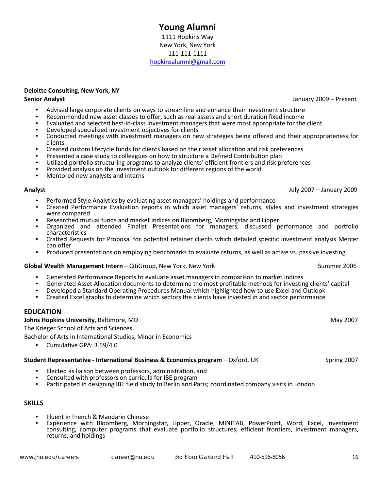#### **Young Alumni** 1111 Hopkins Way New York, New York 111-111-1111 [hopkinsalumni@gmail.com](mailto:hopkinsalumni@gmail.com)

#### **Deloitte Consulting, New York, NY**

- 
- 
- 
- Advised large corporate clients on ways to streamline and enhance their investment structure<br>
 Recommended new asset classes to offer, such as real assets and short duration fixed income<br>
 Evaluated and selected best-i
- 
- 
- Created custom lifecycle funds for clients based on their asset allocation and risk preferences<br>• Presented a case study to colleagues on how to structure a Defined Contribution plan<br>• Utilized portfolio structuring prog
- 
- 

#### **Analyst** July 2007 – January 2009

- 
- Performed Style Analytics by evaluating asset managers' holdings and performance<br>Created Performance Evaluation reports in which asset managers' returns, styles and investment strategies were compared<br>Researched mutual funds and market indices on Bloomberg, Morningstar and Lipper
- 
- Organized and attended Finalist Presentations for managers; discussed performance and portfolio<br>characteristics
- Crafted Requests for Proposal for potential retainer clients which detailed specific investment analysis Mercer<br>can offer
- Produced presentations on employing benchmarks to evaluate returns, as well as active vs. passive investing

#### **Global Wealth Management Intern** – CitiGroup, New York, New York Summer 2006

- 
- Generated Performance Reports to evaluate asset managers in comparison to market indices<br>Generated Asset Allocation documents to determine the most profitable methods for investing clients' capital<br>Developed a Standard Ope
- 
- 

#### **EDUCATION**

#### **Johns Hopkins University**, Baltimore, MD **May 2007** May 2007

The Krieger School of Arts and Sciences

Bachelor of Arts in International Studies, Minor in Economics

• Cumulative GPA: 3.59/4.0

#### **Student Representative - International Business & Economics program – Oxford, UK Spring 2007**

- 
- 
- Elected as liaison between professors, administration, and<br>• Consulted with professors on curricula for IBE program<br>• Participated in designing IBE field study to Berlin and Paris; coordinated company visits in London

#### **SKILLS**

- 
- Fluent in French & Mandarin Chinese<br>Experience with Bloomberg, Morningstar, Lipper, Oracle, MINITAB, PowerPoint, Word, Excel, investment consulting, computer programs that evaluate portfolio structures, efficient frontiers, investment managers, returns, and holdings

**Senior Analyst** January 2009 – Present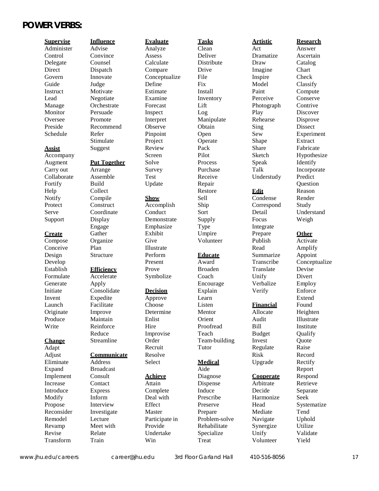## **POWER VERBS:**

Design Develop

#### **Change**

Adapt<br>Adjust

Structure Perform

Streamline Order

Remodel Lecture Participate in Problem-solve Navigate Uphold<br>
Revamp Meet with Provide Rehabilitate Synergize Utilize Revamp Meet with Provide Rehabilitate Synergize Utilize Revise Relate Undertake Specialize Unify Validate Transform Train Win Treat Volunteer Yield

Present

Recruit

**Educate** Award Team-building Tutor

Administer Advise Analyze Clean Act Answer Control Convince Assess Deliver Dramatize Ascertain Delegate Counsel Calculate Distribute Draw Catalog Direct Dispatch Compare Drive Imagine Chart Govern Innovate Conceptualize File Inspire Check Guide Judge Define Fix Model Classify Instruct Motivate Estimate Install Paint Compute Lead Negotiate Examine Inventory Perceive Conserve Manage Orchestrate Forecast Lift Photograph Contrive<br>
Monitor Persuade Inspect Log Play Discover Monitor Persuade Inspect Log Play Discover Oversee Promote Interpret Manipulate Rehearse Disprove Preside Recommend Observe Obtain Sing Dissect Schedule Refer Pinpoint Open Sew Experiment Stimulate Project Operate Shape Extract **Assist** Suggest Review Pack Share Fabricate Accompany Screen Pilot Sketch Hypothesize Augment **Put Together** Solve **Process** Speak Identify Carry out Arrange Survey Purchase Talk Incorporate Collaborate Assemble Test Receive Understudy Predict Fortify Build Update Repair Question Help Collect Restore **Edit** Reason Notify Compile **Show** Sell Condense Render Protect Construct Accomplish Ship Correspond Study Serve Coordinate Conduct Sort Detail Understand Support Display Demonstrate Supply Focus Weigh Engage Emphasize Type Integrate **Create** Gather Exhibit Umpire Prepare **Other** Compose Organize Give Volunteer Publish Activate Conceive Plan Illustrate Read Amplify Establish **Efficiency** Prove Broaden Translate Devise Formulate Accelerate Symbolize Coach Unify Divert Generate Apply **Encourage** Verbalize Employ Initiate Consolidate **Decision** Explain Verify Enforce Invent Expedite Approve Learn Extend Launch Facilitate Choose Listen **Financial** Found Originate Improve Determine Mentor Allocate Heighten Produce Maintain Enlist Orient Audit Illustrate Write Reinforce Hire Proofread Bill Institute Reduce Improvise Teach Budget Qualify **Communicate** Resolve Risk Record Eliminate Address Select **Medical** Upgrade Rectify Expand Broadcast and Aide Aide Report Implement Consult **Achieve** Diagnose **Cooperate** Respond Increase Contact Attain Dispense Arbitrate Retrieve Introduce Express Complete Induce Decide Separate Modify Inform Deal with Prescribe Harmonize Seek Propose Interview Effect Preserve Head Systematize

**Supervise Influence Evaluate Tasks Artistic Research** Summarize Transcribe Invest Regulate Reconsider Investigate Master Prepare Mediate Tend

# Appoint Conceptualize **Ouote** Raise

[www.jhu.edu/careers](http://www.jhu.edu/careers) [career@jhu.edu](mailto:career@jhu.edu) 3rd Floor Garland Hall 410-516-8056 17